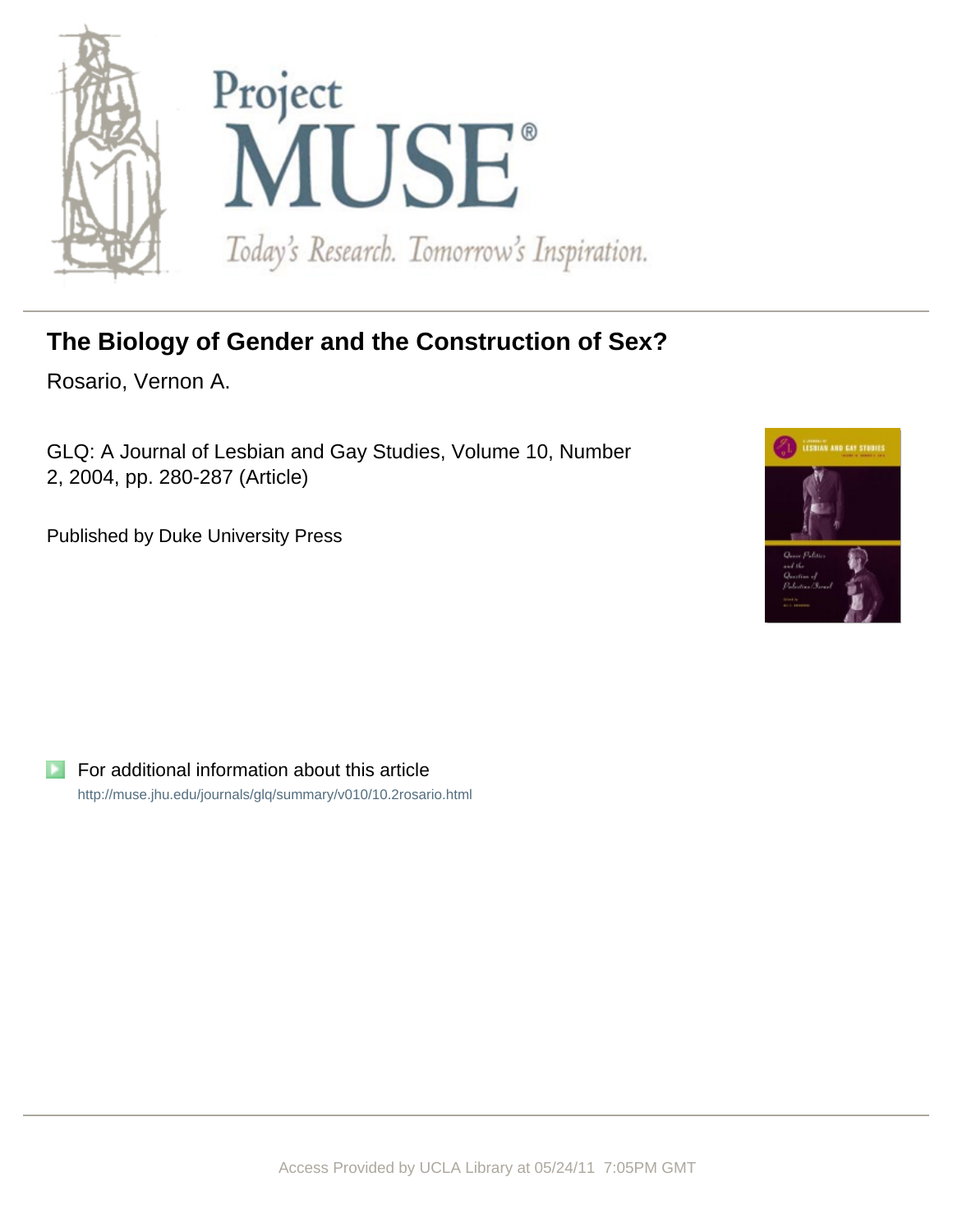

# **The Biology of Gender and the Construction of Sex?**

Rosario, Vernon A.

GLQ: A Journal of Lesbian and Gay Studies, Volume 10, Number 2, 2004, pp. 280-287 (Article)

Published by Duke University Press





For additional information about this article <http://muse.jhu.edu/journals/glq/summary/v010/10.2rosario.html>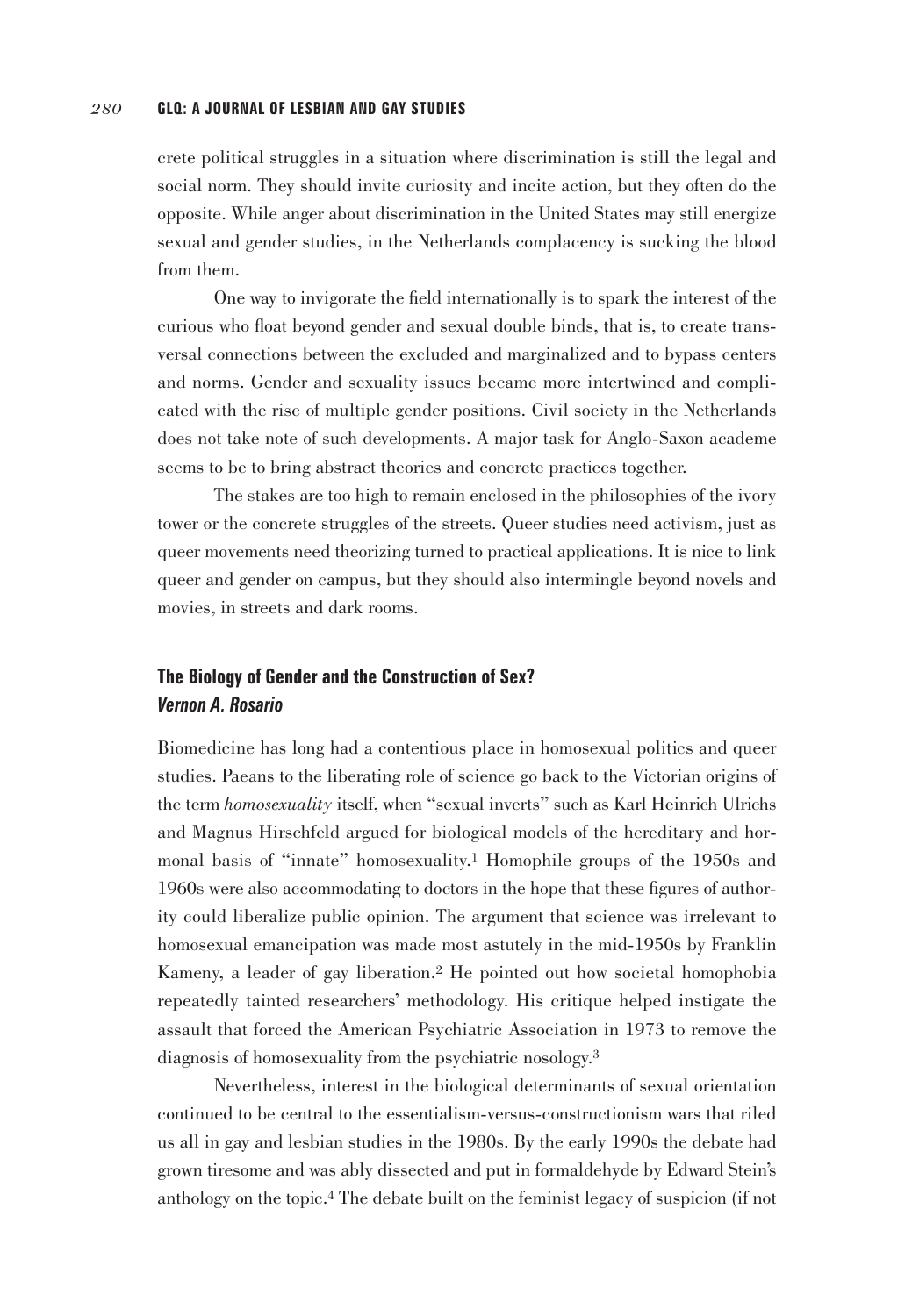crete political struggles in a situation where discrimination is still the legal and social norm. They should invite curiosity and incite action, but they often do the opposite. While anger about discrimination in the United States may still energize sexual and gender studies, in the Netherlands complacency is sucking the blood from them.

One way to invigorate the field internationally is to spark the interest of the curious who float beyond gender and sexual double binds, that is, to create transversal connections between the excluded and marginalized and to bypass centers and norms. Gender and sexuality issues became more intertwined and complicated with the rise of multiple gender positions. Civil society in the Netherlands does not take note of such developments. A major task for Anglo-Saxon academe seems to be to bring abstract theories and concrete practices together.

The stakes are too high to remain enclosed in the philosophies of the ivory tower or the concrete struggles of the streets. Queer studies need activism, just as queer movements need theorizing turned to practical applications. It is nice to link queer and gender on campus, but they should also intermingle beyond novels and movies, in streets and dark rooms.

## **The Biology of Gender and the Construction of Sex?** *Vernon A. Rosario*

Biomedicine has long had a contentious place in homosexual politics and queer studies. Paeans to the liberating role of science go back to the Victorian origins of the term *homosexuality* itself, when "sexual inverts" such as Karl Heinrich Ulrichs and Magnus Hirschfeld argued for biological models of the hereditary and hormonal basis of "innate" homosexuality.1 Homophile groups of the 1950s and 1960s were also accommodating to doctors in the hope that these figures of authority could liberalize public opinion. The argument that science was irrelevant to homosexual emancipation was made most astutely in the mid-1950s by Franklin Kameny, a leader of gay liberation.2 He pointed out how societal homophobia repeatedly tainted researchers' methodology. His critique helped instigate the assault that forced the American Psychiatric Association in 1973 to remove the diagnosis of homosexuality from the psychiatric nosology.3

Nevertheless, interest in the biological determinants of sexual orientation continued to be central to the essentialism-versus-constructionism wars that riled us all in gay and lesbian studies in the 1980s. By the early 1990s the debate had grown tiresome and was ably dissected and put in formaldehyde by Edward Stein's anthology on the topic.4 The debate built on the feminist legacy of suspicion (if not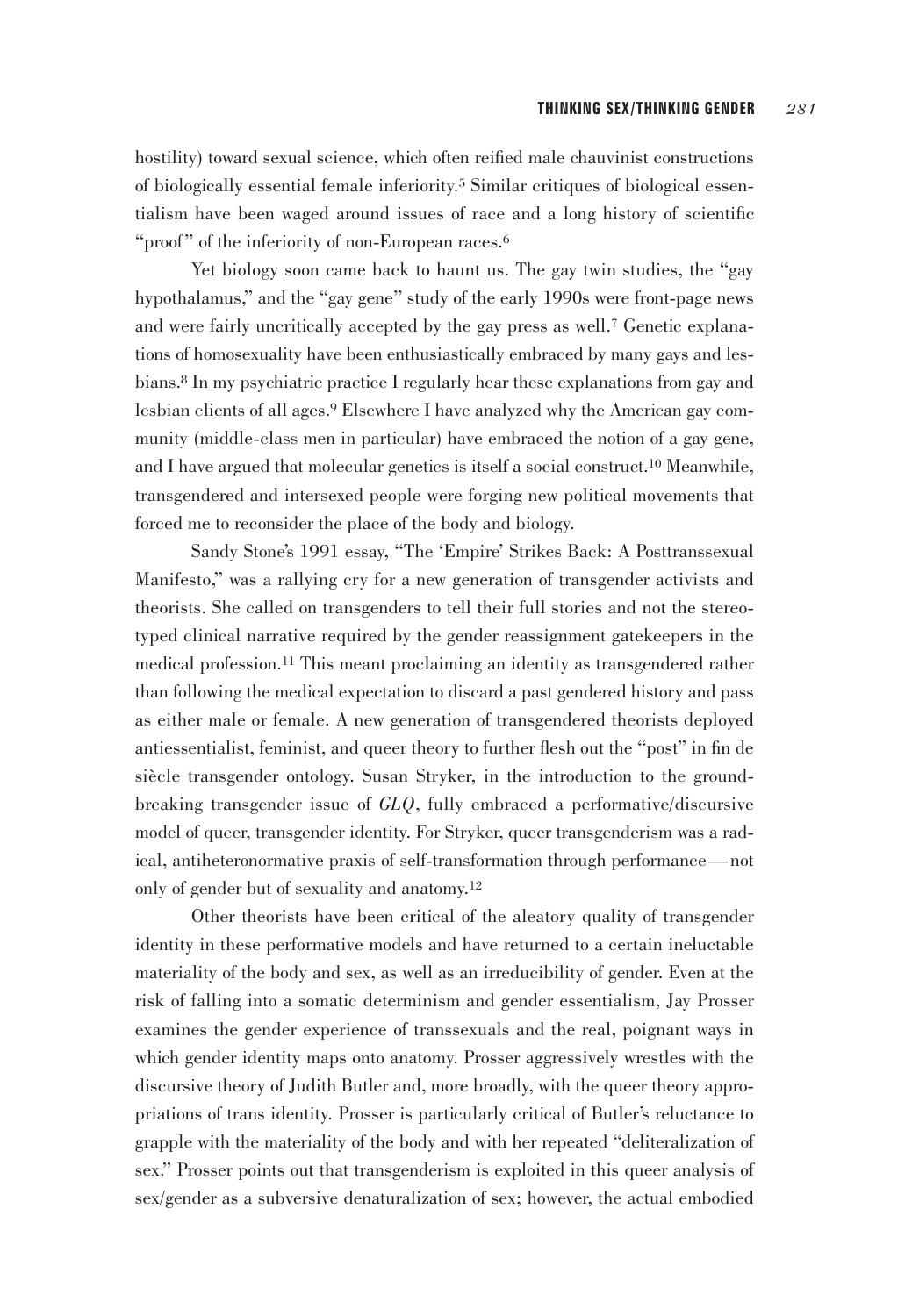hostility) toward sexual science, which often reified male chauvinist constructions of biologically essential female inferiority.5 Similar critiques of biological essentialism have been waged around issues of race and a long history of scientific "proof" of the inferiority of non-European races.<sup>6</sup>

Yet biology soon came back to haunt us. The gay twin studies, the "gay hypothalamus," and the "gay gene" study of the early 1990s were front-page news and were fairly uncritically accepted by the gay press as well.7 Genetic explanations of homosexuality have been enthusiastically embraced by many gays and lesbians.8 In my psychiatric practice I regularly hear these explanations from gay and lesbian clients of all ages.9 Elsewhere I have analyzed why the American gay community (middle-class men in particular) have embraced the notion of a gay gene, and I have argued that molecular genetics is itself a social construct.10 Meanwhile, transgendered and intersexed people were forging new political movements that forced me to reconsider the place of the body and biology.

Sandy Stone's 1991 essay, "The 'Empire' Strikes Back: A Posttranssexual Manifesto," was a rallying cry for a new generation of transgender activists and theorists. She called on transgenders to tell their full stories and not the stereotyped clinical narrative required by the gender reassignment gatekeepers in the medical profession.11 This meant proclaiming an identity as transgendered rather than following the medical expectation to discard a past gendered history and pass as either male or female. A new generation of transgendered theorists deployed antiessentialist, feminist, and queer theory to further flesh out the "post" in fin de siècle transgender ontology. Susan Stryker, in the introduction to the groundbreaking transgender issue of *GLQ*, fully embraced a performative/discursive model of queer, transgender identity. For Stryker, queer transgenderism was a radical, antiheteronormative praxis of self-transformation through performance—not only of gender but of sexuality and anatomy.12

Other theorists have been critical of the aleatory quality of transgender identity in these performative models and have returned to a certain ineluctable materiality of the body and sex, as well as an irreducibility of gender. Even at the risk of falling into a somatic determinism and gender essentialism, Jay Prosser examines the gender experience of transsexuals and the real, poignant ways in which gender identity maps onto anatomy. Prosser aggressively wrestles with the discursive theory of Judith Butler and, more broadly, with the queer theory appropriations of trans identity. Prosser is particularly critical of Butler's reluctance to grapple with the materiality of the body and with her repeated "deliteralization of sex." Prosser points out that transgenderism is exploited in this queer analysis of sex/gender as a subversive denaturalization of sex; however, the actual embodied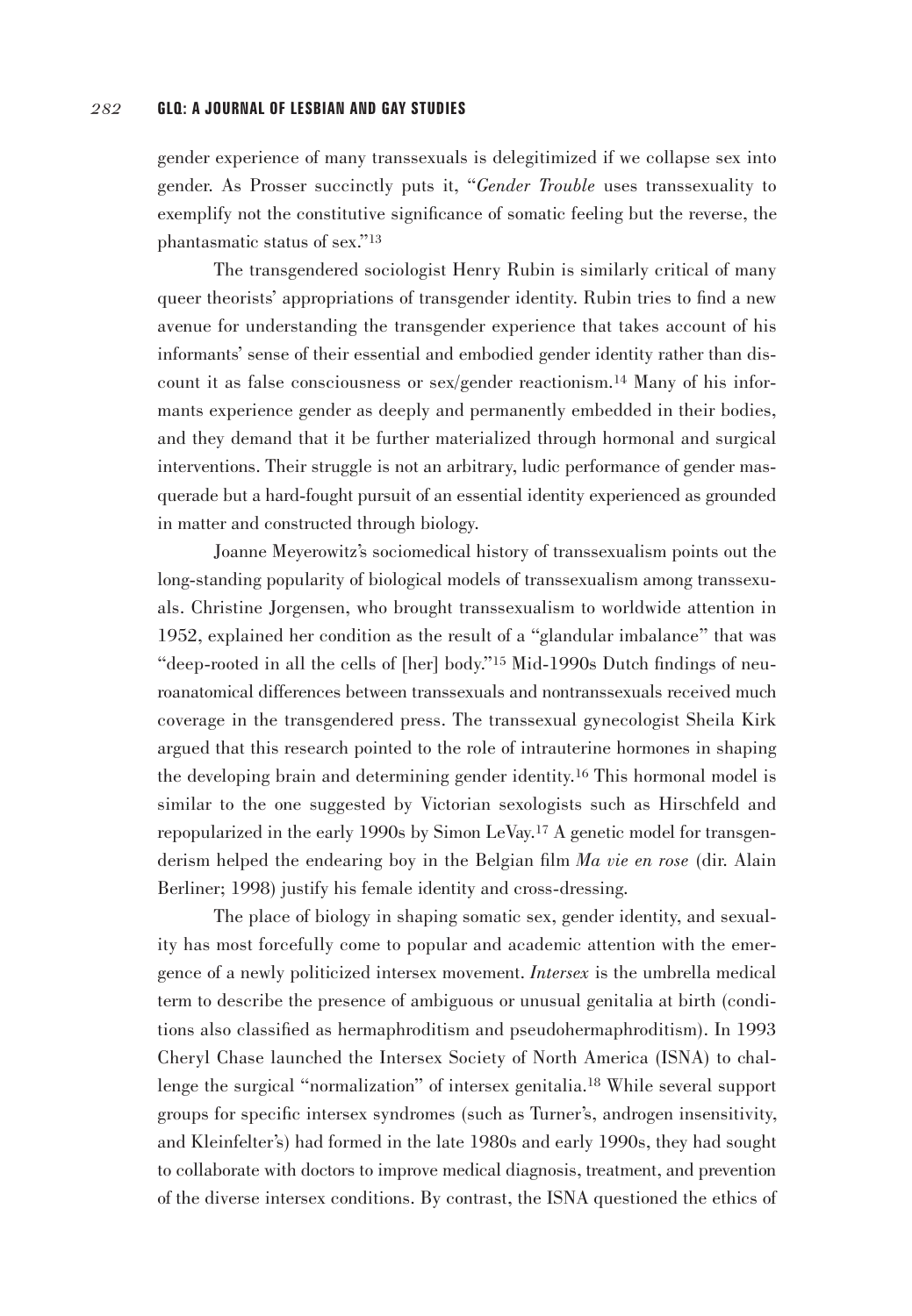gender experience of many transsexuals is delegitimized if we collapse sex into gender. As Prosser succinctly puts it, "*Gender Trouble* uses transsexuality to exemplify not the constitutive significance of somatic feeling but the reverse, the phantasmatic status of sex."13

The transgendered sociologist Henry Rubin is similarly critical of many queer theorists' appropriations of transgender identity. Rubin tries to find a new avenue for understanding the transgender experience that takes account of his informants' sense of their essential and embodied gender identity rather than discount it as false consciousness or sex/gender reactionism.14 Many of his informants experience gender as deeply and permanently embedded in their bodies, and they demand that it be further materialized through hormonal and surgical interventions. Their struggle is not an arbitrary, ludic performance of gender masquerade but a hard-fought pursuit of an essential identity experienced as grounded in matter and constructed through biology.

Joanne Meyerowitz's sociomedical history of transsexualism points out the long-standing popularity of biological models of transsexualism among transsexuals. Christine Jorgensen, who brought transsexualism to worldwide attention in 1952, explained her condition as the result of a "glandular imbalance" that was "deep-rooted in all the cells of [her] body."15 Mid-1990s Dutch findings of neuroanatomical differences between transsexuals and nontranssexuals received much coverage in the transgendered press. The transsexual gynecologist Sheila Kirk argued that this research pointed to the role of intrauterine hormones in shaping the developing brain and determining gender identity.16 This hormonal model is similar to the one suggested by Victorian sexologists such as Hirschfeld and repopularized in the early 1990s by Simon LeVay.17 A genetic model for transgenderism helped the endearing boy in the Belgian film *Ma vie en rose* (dir. Alain Berliner; 1998) justify his female identity and cross-dressing.

The place of biology in shaping somatic sex, gender identity, and sexuality has most forcefully come to popular and academic attention with the emergence of a newly politicized intersex movement. *Intersex* is the umbrella medical term to describe the presence of ambiguous or unusual genitalia at birth (conditions also classified as hermaphroditism and pseudohermaphroditism). In 1993 Cheryl Chase launched the Intersex Society of North America (ISNA) to challenge the surgical "normalization" of intersex genitalia.18 While several support groups for specific intersex syndromes (such as Turner's, androgen insensitivity, and Kleinfelter's) had formed in the late 1980s and early 1990s, they had sought to collaborate with doctors to improve medical diagnosis, treatment, and prevention of the diverse intersex conditions. By contrast, the ISNA questioned the ethics of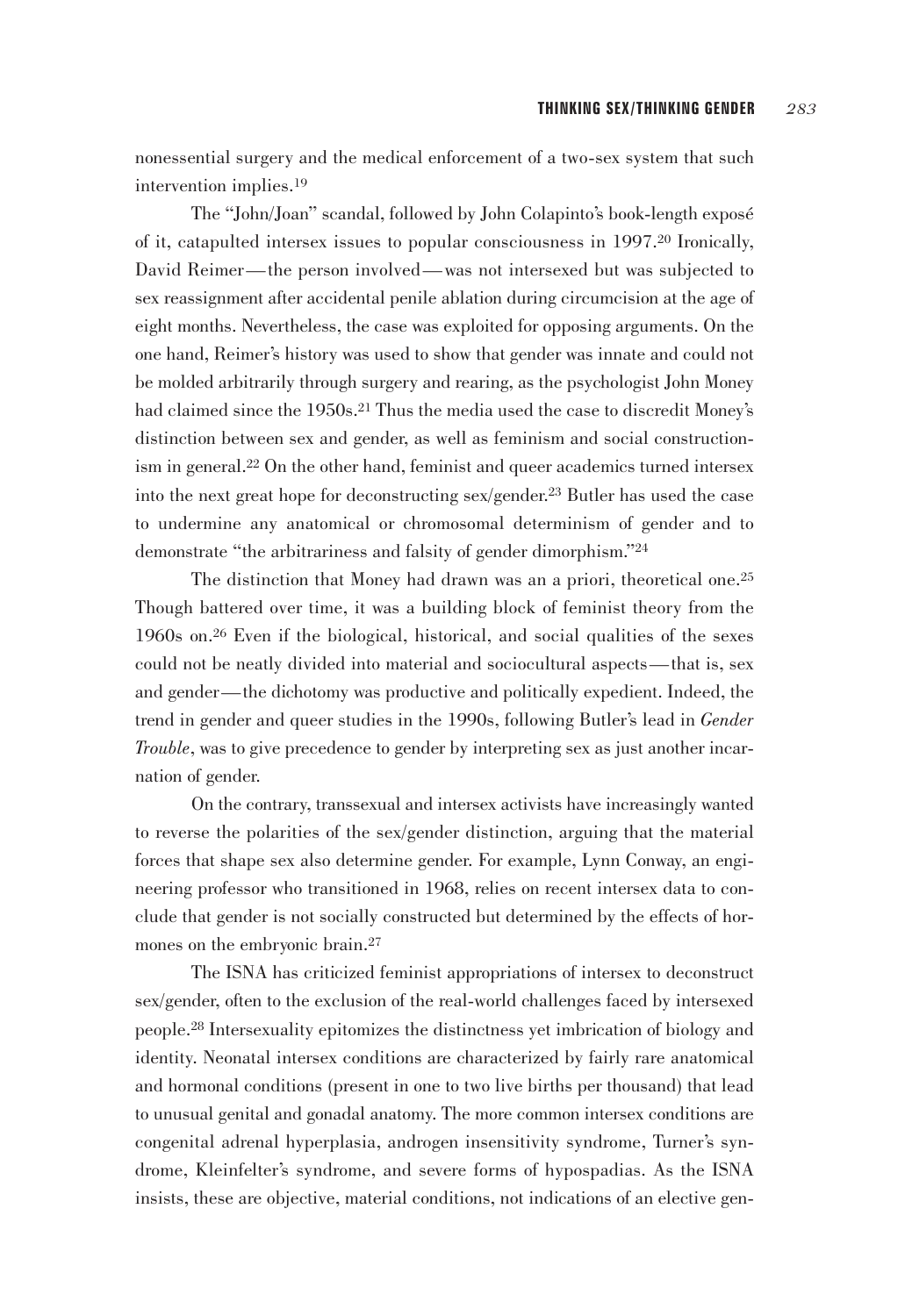nonessential surgery and the medical enforcement of a two-sex system that such intervention implies.19

The "John/Joan" scandal, followed by John Colapinto's book-length exposé of it, catapulted intersex issues to popular consciousness in 1997.20 Ironically, David Reimer—the person involved—was not intersexed but was subjected to sex reassignment after accidental penile ablation during circumcision at the age of eight months. Nevertheless, the case was exploited for opposing arguments. On the one hand, Reimer's history was used to show that gender was innate and could not be molded arbitrarily through surgery and rearing, as the psychologist John Money had claimed since the 1950s.<sup>21</sup> Thus the media used the case to discredit Money's distinction between sex and gender, as well as feminism and social constructionism in general.22 On the other hand, feminist and queer academics turned intersex into the next great hope for deconstructing sex/gender.23 Butler has used the case to undermine any anatomical or chromosomal determinism of gender and to demonstrate "the arbitrariness and falsity of gender dimorphism."24

The distinction that Money had drawn was an a priori, theoretical one.25 Though battered over time, it was a building block of feminist theory from the 1960s on.26 Even if the biological, historical, and social qualities of the sexes could not be neatly divided into material and sociocultural aspects—that is, sex and gender—the dichotomy was productive and politically expedient. Indeed, the trend in gender and queer studies in the 1990s, following Butler's lead in *Gender Trouble*, was to give precedence to gender by interpreting sex as just another incarnation of gender.

On the contrary, transsexual and intersex activists have increasingly wanted to reverse the polarities of the sex/gender distinction, arguing that the material forces that shape sex also determine gender. For example, Lynn Conway, an engineering professor who transitioned in 1968, relies on recent intersex data to conclude that gender is not socially constructed but determined by the effects of hormones on the embryonic brain.27

The ISNA has criticized feminist appropriations of intersex to deconstruct sex/gender, often to the exclusion of the real-world challenges faced by intersexed people.28 Intersexuality epitomizes the distinctness yet imbrication of biology and identity. Neonatal intersex conditions are characterized by fairly rare anatomical and hormonal conditions (present in one to two live births per thousand) that lead to unusual genital and gonadal anatomy. The more common intersex conditions are congenital adrenal hyperplasia, androgen insensitivity syndrome, Turner's syndrome, Kleinfelter's syndrome, and severe forms of hypospadias. As the ISNA insists, these are objective, material conditions, not indications of an elective gen-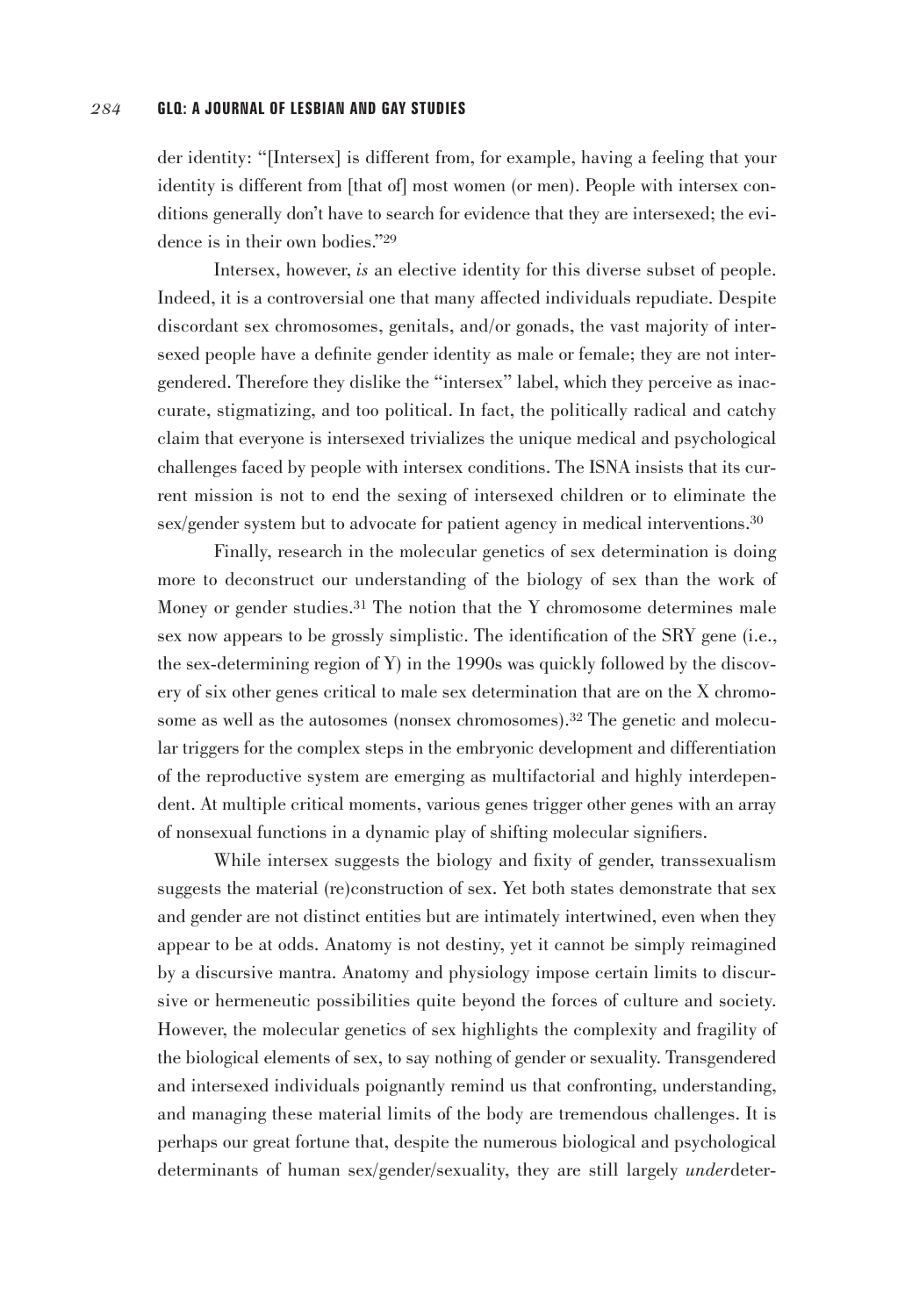der identity: "[Intersex] is different from, for example, having a feeling that your identity is different from [that of] most women (or men). People with intersex conditions generally don't have to search for evidence that they are intersexed; the evidence is in their own bodies."29

Intersex, however, *is* an elective identity for this diverse subset of people. Indeed, it is a controversial one that many affected individuals repudiate. Despite discordant sex chromosomes, genitals, and/or gonads, the vast majority of intersexed people have a definite gender identity as male or female; they are not intergendered. Therefore they dislike the "intersex" label, which they perceive as inaccurate, stigmatizing, and too political. In fact, the politically radical and catchy claim that everyone is intersexed trivializes the unique medical and psychological challenges faced by people with intersex conditions. The ISNA insists that its current mission is not to end the sexing of intersexed children or to eliminate the sex/gender system but to advocate for patient agency in medical interventions.<sup>30</sup>

Finally, research in the molecular genetics of sex determination is doing more to deconstruct our understanding of the biology of sex than the work of Money or gender studies.<sup>31</sup> The notion that the Y chromosome determines male sex now appears to be grossly simplistic. The identification of the SRY gene (i.e., the sex-determining region of Y) in the 1990s was quickly followed by the discovery of six other genes critical to male sex determination that are on the X chromosome as well as the autosomes (nonsex chromosomes).32 The genetic and molecular triggers for the complex steps in the embryonic development and differentiation of the reproductive system are emerging as multifactorial and highly interdependent. At multiple critical moments, various genes trigger other genes with an array of nonsexual functions in a dynamic play of shifting molecular signifiers.

While intersex suggests the biology and fixity of gender, transsexualism suggests the material (re)construction of sex. Yet both states demonstrate that sex and gender are not distinct entities but are intimately intertwined, even when they appear to be at odds. Anatomy is not destiny, yet it cannot be simply reimagined by a discursive mantra. Anatomy and physiology impose certain limits to discursive or hermeneutic possibilities quite beyond the forces of culture and society. However, the molecular genetics of sex highlights the complexity and fragility of the biological elements of sex, to say nothing of gender or sexuality. Transgendered and intersexed individuals poignantly remind us that confronting, understanding, and managing these material limits of the body are tremendous challenges. It is perhaps our great fortune that, despite the numerous biological and psychological determinants of human sex/gender/sexuality, they are still largely *under*deter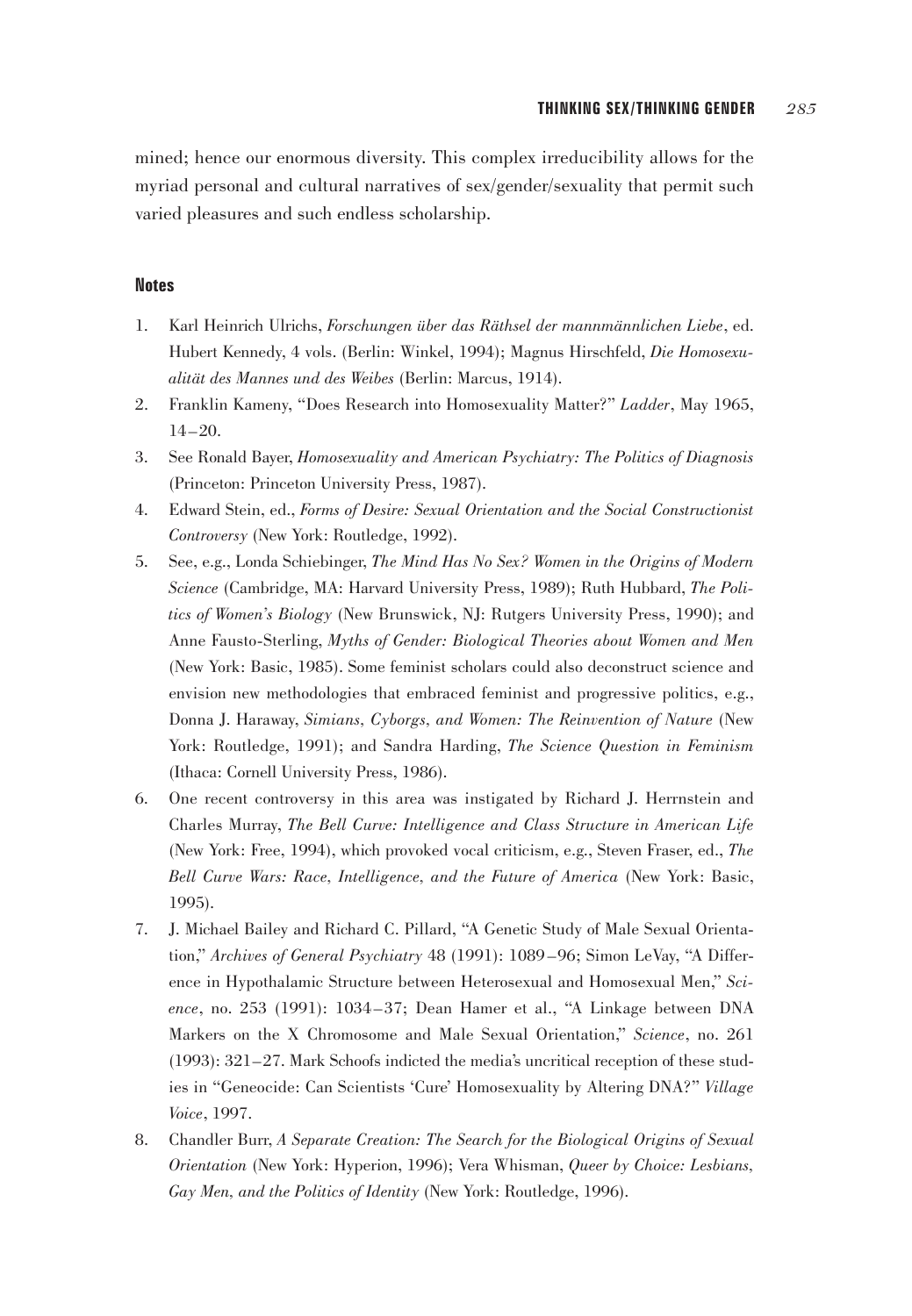mined; hence our enormous diversity. This complex irreducibility allows for the myriad personal and cultural narratives of sex/gender/sexuality that permit such varied pleasures and such endless scholarship.

### **Notes**

- 1. Karl Heinrich Ulrichs, *Forschungen über das Räthsel der mannmännlichen Liebe*, ed. Hubert Kennedy, 4 vols. (Berlin: Winkel, 1994); Magnus Hirschfeld, *Die Homosexualität des Mannes und des Weibes* (Berlin: Marcus, 1914).
- 2. Franklin Kameny, "Does Research into Homosexuality Matter?" *Ladder*, May 1965, 14–20.
- 3. See Ronald Bayer, *Homosexuality and American Psychiatry: The Politics of Diagnosis* (Princeton: Princeton University Press, 1987).
- 4. Edward Stein, ed., *Forms of Desire: Sexual Orientation and the Social Constructionist Controversy* (New York: Routledge, 1992).
- 5. See, e.g., Londa Schiebinger, *The Mind Has No Sex? Women in the Origins of Modern Science* (Cambridge, MA: Harvard University Press, 1989); Ruth Hubbard, *The Politics of Women's Biology* (New Brunswick, NJ: Rutgers University Press, 1990); and Anne Fausto-Sterling, *Myths of Gender: Biological Theories about Women and Men* (New York: Basic, 1985). Some feminist scholars could also deconstruct science and envision new methodologies that embraced feminist and progressive politics, e.g., Donna J. Haraway, *Simians, Cyborgs, and Women: The Reinvention of Nature* (New York: Routledge, 1991); and Sandra Harding, *The Science Question in Feminism* (Ithaca: Cornell University Press, 1986).
- 6. One recent controversy in this area was instigated by Richard J. Herrnstein and Charles Murray, *The Bell Curve: Intelligence and Class Structure in American Life* (New York: Free, 1994), which provoked vocal criticism, e.g., Steven Fraser, ed., *The Bell Curve Wars: Race, Intelligence, and the Future of America* (New York: Basic, 1995).
- 7. J. Michael Bailey and Richard C. Pillard, "A Genetic Study of Male Sexual Orientation," *Archives of General Psychiatry* 48 (1991): 1089 –96; Simon LeVay, "A Difference in Hypothalamic Structure between Heterosexual and Homosexual Men," *Science*, no. 253 (1991): 1034–37; Dean Hamer et al., "A Linkage between DNA Markers on the X Chromosome and Male Sexual Orientation," *Science*, no. 261 (1993): 321–27. Mark Schoofs indicted the media's uncritical reception of these studies in "Geneocide: Can Scientists 'Cure' Homosexuality by Altering DNA?" *Village Voice*, 1997.
- 8. Chandler Burr, *A Separate Creation: The Search for the Biological Origins of Sexual Orientation* (New York: Hyperion, 1996); Vera Whisman, *Queer by Choice: Lesbians, Gay Men, and the Politics of Identity* (New York: Routledge, 1996).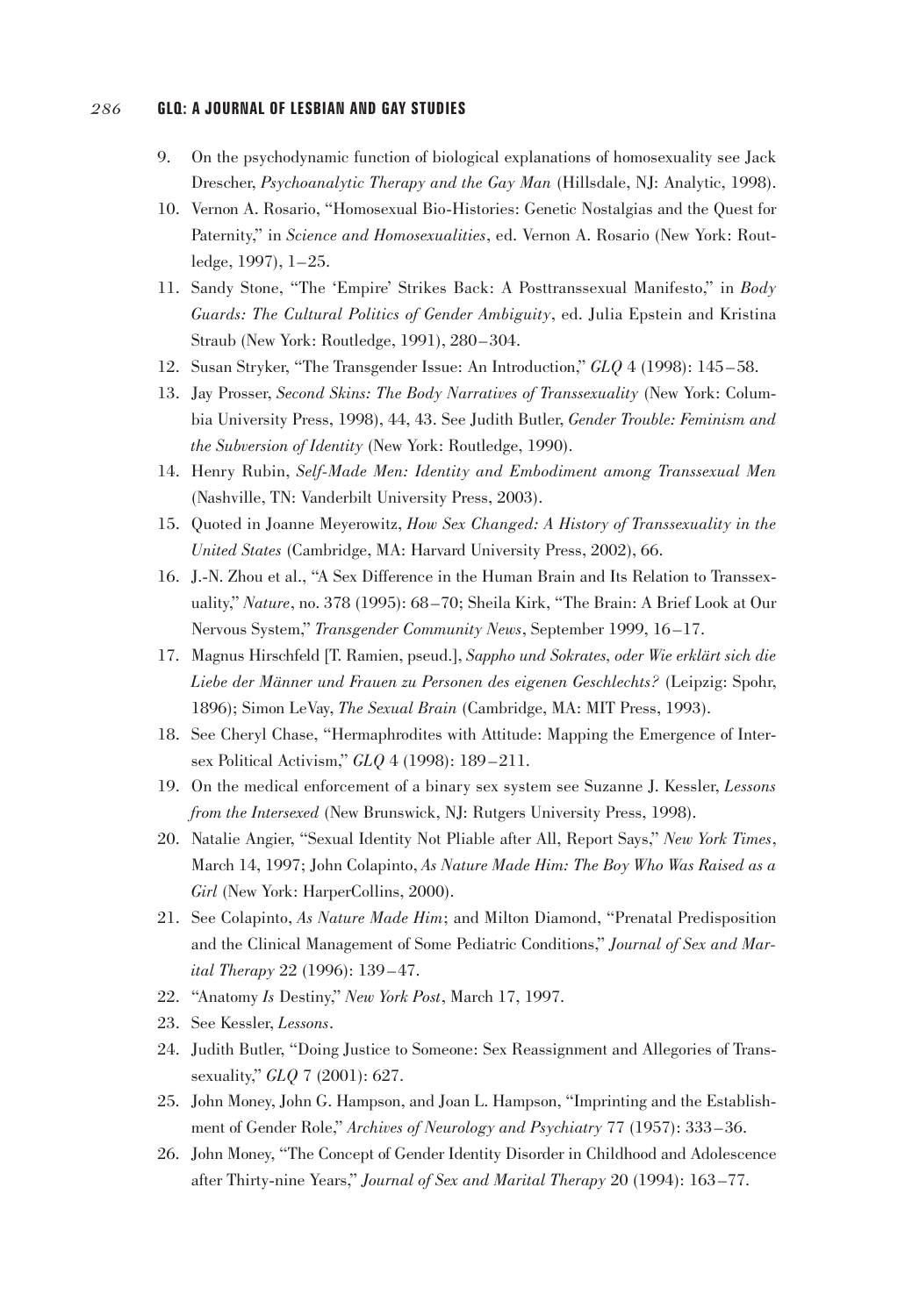- 9. On the psychodynamic function of biological explanations of homosexuality see Jack Drescher, *Psychoanalytic Therapy and the Gay Man* (Hillsdale, NJ: Analytic, 1998).
- 10. Vernon A. Rosario, "Homosexual Bio-Histories: Genetic Nostalgias and the Quest for Paternity," in *Science and Homosexualities*, ed. Vernon A. Rosario (New York: Routledge, 1997), 1–25.
- 11. Sandy Stone, "The 'Empire' Strikes Back: A Posttranssexual Manifesto," in *Body Guards: The Cultural Politics of Gender Ambiguity*, ed. Julia Epstein and Kristina Straub (New York: Routledge, 1991), 280–304.
- 12. Susan Stryker, "The Transgender Issue: An Introduction," *GLQ* 4 (1998): 145–58.
- 13. Jay Prosser, *Second Skins: The Body Narratives of Transsexuality* (New York: Columbia University Press, 1998), 44, 43. See Judith Butler, *Gender Trouble: Feminism and the Subversion of Identity* (New York: Routledge, 1990).
- 14. Henry Rubin, *Self-Made Men: Identity and Embodiment among Transsexual Men* (Nashville, TN: Vanderbilt University Press, 2003).
- 15. Quoted in Joanne Meyerowitz, *How Sex Changed: A History of Transsexuality in the United States* (Cambridge, MA: Harvard University Press, 2002), 66.
- 16. J.-N. Zhou et al., "A Sex Difference in the Human Brain and Its Relation to Transsexuality," *Nature*, no. 378 (1995): 68 –70; Sheila Kirk, "The Brain: A Brief Look at Our Nervous System," *Transgender Community News*, September 1999, 16 –17.
- 17. Magnus Hirschfeld [T. Ramien, pseud.], *Sappho und Sokrates, oder Wie erklärt sich die Liebe der Männer und Frauen zu Personen des eigenen Geschlechts?* (Leipzig: Spohr, 1896); Simon LeVay, *The Sexual Brain* (Cambridge, MA: MIT Press, 1993).
- 18. See Cheryl Chase, "Hermaphrodites with Attitude: Mapping the Emergence of Intersex Political Activism," *GLQ* 4 (1998): 189–211.
- 19. On the medical enforcement of a binary sex system see Suzanne J. Kessler, *Lessons from the Intersexed* (New Brunswick, NJ: Rutgers University Press, 1998).
- 20. Natalie Angier, "Sexual Identity Not Pliable after All, Report Says," *New York Times*, March 14, 1997; John Colapinto, *As Nature Made Him: The Boy Who Was Raised as a Girl* (New York: HarperCollins, 2000).
- 21. See Colapinto, *As Nature Made Him*; and Milton Diamond, "Prenatal Predisposition and the Clinical Management of Some Pediatric Conditions," *Journal of Sex and Marital Therapy* 22 (1996): 139–47.
- 22. "Anatomy *Is* Destiny," *New York Post*, March 17, 1997.
- 23. See Kessler, *Lessons*.
- 24. Judith Butler, "Doing Justice to Someone: Sex Reassignment and Allegories of Transsexuality," *GLQ* 7 (2001): 627.
- 25. John Money, John G. Hampson, and Joan L. Hampson, "Imprinting and the Establishment of Gender Role," *Archives of Neurology and Psychiatry* 77 (1957): 333–36.
- 26. John Money, "The Concept of Gender Identity Disorder in Childhood and Adolescence after Thirty-nine Years," *Journal of Sex and Marital Therapy* 20 (1994): 163–77.